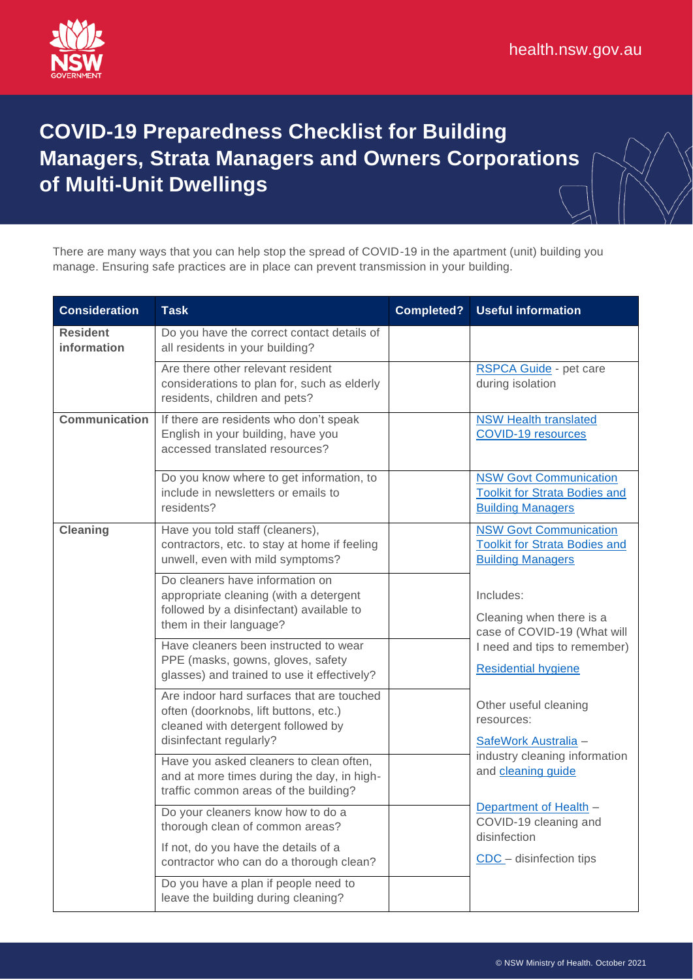

## **COVID-19 Preparedness Checklist for Building Managers, Strata Managers and Owners Corporations of Multi-Unit Dwellings**

There are many ways that you can help stop the spread of COVID-19 in the apartment (unit) building you manage. Ensuring safe practices are in place can prevent transmission in your building.

| <b>Consideration</b>           | <b>Task</b>                                                                                                                                             | <b>Completed?</b> | <b>Useful information</b>                                                                                                                                                                                                                                                                                                                                                                                                                                   |
|--------------------------------|---------------------------------------------------------------------------------------------------------------------------------------------------------|-------------------|-------------------------------------------------------------------------------------------------------------------------------------------------------------------------------------------------------------------------------------------------------------------------------------------------------------------------------------------------------------------------------------------------------------------------------------------------------------|
| <b>Resident</b><br>information | Do you have the correct contact details of<br>all residents in your building?                                                                           |                   |                                                                                                                                                                                                                                                                                                                                                                                                                                                             |
|                                | Are there other relevant resident<br>considerations to plan for, such as elderly<br>residents, children and pets?                                       |                   | <b>RSPCA Guide</b> - pet care<br>during isolation                                                                                                                                                                                                                                                                                                                                                                                                           |
| <b>Communication</b>           | If there are residents who don't speak<br>English in your building, have you<br>accessed translated resources?                                          |                   | <b>NSW Health translated</b><br><b>COVID-19 resources</b>                                                                                                                                                                                                                                                                                                                                                                                                   |
|                                | Do you know where to get information, to<br>include in newsletters or emails to<br>residents?                                                           |                   | <b>NSW Govt Communication</b><br><b>Toolkit for Strata Bodies and</b><br><b>Building Managers</b>                                                                                                                                                                                                                                                                                                                                                           |
| <b>Cleaning</b>                | Have you told staff (cleaners),<br>contractors, etc. to stay at home if feeling<br>unwell, even with mild symptoms?                                     |                   | <b>NSW Govt Communication</b><br><b>Toolkit for Strata Bodies and</b><br><b>Building Managers</b><br>Includes:<br>Cleaning when there is a<br>case of COVID-19 (What will<br>I need and tips to remember)<br><b>Residential hygiene</b><br>Other useful cleaning<br>resources:<br>SafeWork Australia -<br>industry cleaning information<br>and cleaning guide<br>Department of Health -<br>COVID-19 cleaning and<br>disinfection<br>CDC - disinfection tips |
|                                | Do cleaners have information on<br>appropriate cleaning (with a detergent<br>followed by a disinfectant) available to<br>them in their language?        |                   |                                                                                                                                                                                                                                                                                                                                                                                                                                                             |
|                                | Have cleaners been instructed to wear<br>PPE (masks, gowns, gloves, safety<br>glasses) and trained to use it effectively?                               |                   |                                                                                                                                                                                                                                                                                                                                                                                                                                                             |
|                                | Are indoor hard surfaces that are touched<br>often (doorknobs, lift buttons, etc.)<br>cleaned with detergent followed by<br>disinfectant regularly?     |                   |                                                                                                                                                                                                                                                                                                                                                                                                                                                             |
|                                | Have you asked cleaners to clean often,<br>and at more times during the day, in high-<br>traffic common areas of the building?                          |                   |                                                                                                                                                                                                                                                                                                                                                                                                                                                             |
|                                | Do your cleaners know how to do a<br>thorough clean of common areas?<br>If not, do you have the details of a<br>contractor who can do a thorough clean? |                   |                                                                                                                                                                                                                                                                                                                                                                                                                                                             |
|                                | Do you have a plan if people need to<br>leave the building during cleaning?                                                                             |                   |                                                                                                                                                                                                                                                                                                                                                                                                                                                             |